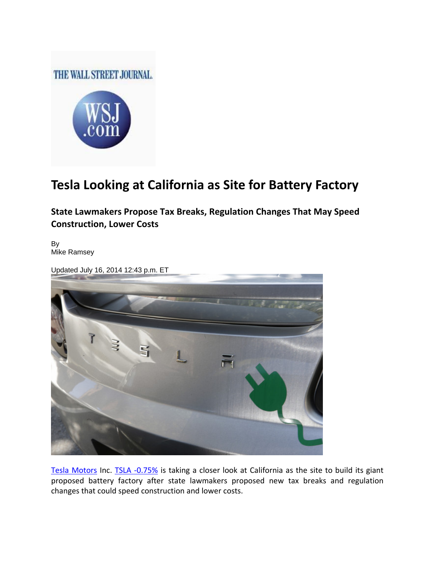## THE WALL STREET JOURNAL.



## **Tesla Looking at California as Site for Battery Factory**

**State Lawmakers Propose Tax Breaks, Regulation Changes That May Speed Construction, Lower Costs**

By Mike Ramsey

Updated July 16, 2014 12:43 p.m. ET



Tesla Motors Inc. TSLA -0.75% is taking a closer look at California as the site to build its giant proposed battery factory after state lawmakers proposed new tax breaks and regulation changes that could speed construction and lower costs.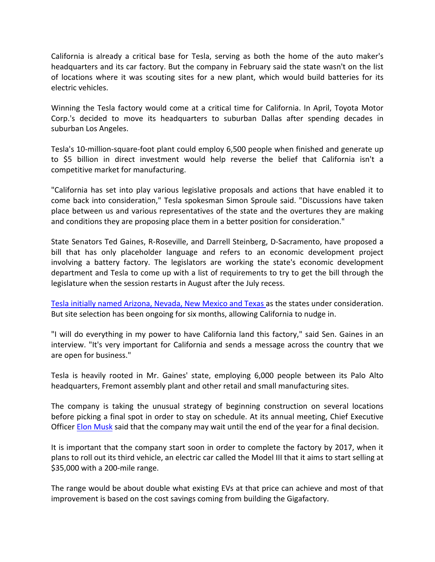California is already a critical base for Tesla, serving as both the home of the auto maker's headquarters and its car factory. But the company in February said the state wasn't on the list of locations where it was scouting sites for a new plant, which would build batteries for its electric vehicles.

Winning the Tesla factory would come at a critical time for California. In April, Toyota Motor Corp.'s decided to move its headquarters to suburban Dallas after spending decades in suburban Los Angeles.

Tesla's 10‐million‐square‐foot plant could employ 6,500 people when finished and generate up to \$5 billion in direct investment would help reverse the belief that California isn't a competitive market for manufacturing.

"California has set into play various legislative proposals and actions that have enabled it to come back into consideration," Tesla spokesman Simon Sproule said. "Discussions have taken place between us and various representatives of the state and the overtures they are making and conditions they are proposing place them in a better position for consideration."

State Senators Ted Gaines, R‐Roseville, and Darrell Steinberg, D‐Sacramento, have proposed a bill that has only placeholder language and refers to an economic development project involving a battery factory. The legislators are working the state's economic development department and Tesla to come up with a list of requirements to try to get the bill through the legislature when the session restarts in August after the July recess.

Tesla initially named Arizona, Nevada, New Mexico and Texas as the states under consideration. But site selection has been ongoing for six months, allowing California to nudge in.

"I will do everything in my power to have California land this factory," said Sen. Gaines in an interview. "It's very important for California and sends a message across the country that we are open for business."

Tesla is heavily rooted in Mr. Gaines' state, employing 6,000 people between its Palo Alto headquarters, Fremont assembly plant and other retail and small manufacturing sites.

The company is taking the unusual strategy of beginning construction on several locations before picking a final spot in order to stay on schedule. At its annual meeting, Chief Executive Officer Elon Musk said that the company may wait until the end of the year for a final decision.

It is important that the company start soon in order to complete the factory by 2017, when it plans to roll out its third vehicle, an electric car called the Model III that it aims to start selling at \$35,000 with a 200‐mile range.

The range would be about double what existing EVs at that price can achieve and most of that improvement is based on the cost savings coming from building the Gigafactory.